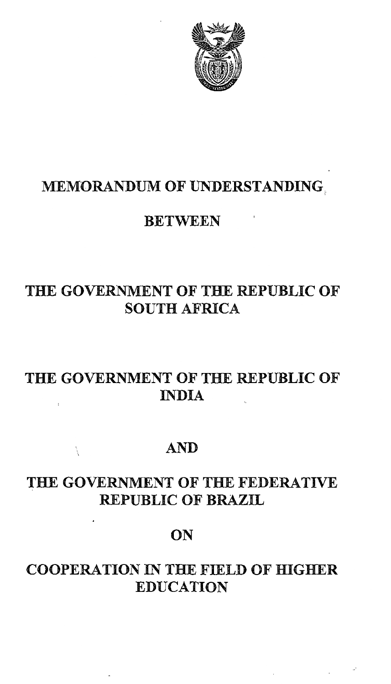

MEMORANDUM OF UNDERSTANDING.

### **MEMORANDUM OF UNDERSTANDING**

### **BETWEEN**

# THE GOVERNMENT OF THE REPUBLIC OF **SOUTH AFRICA**

# THE GOVERNMENT OF THE REPUBLIC OF **INDIA**

#### **AND** THE GOVERNMENT OF THE GOVERNMENT OF THE FEDERATION OF THE FEDERATION OF THE FEDERATION OF THE FEDERATION OF TH

Å

## THE GOVERNMENT OF THE FEDERATIVE **REPUBLIC OF BRAZIL**

# COOPERATION IN THE FIELD OF HIGHER STATES OF HIGHER STATES OF HIGHER STATES OF HIGHER STATES OF HIGHER STATES

### **COOPERATION IN THE FIELD OF HIGHER EDUCATION**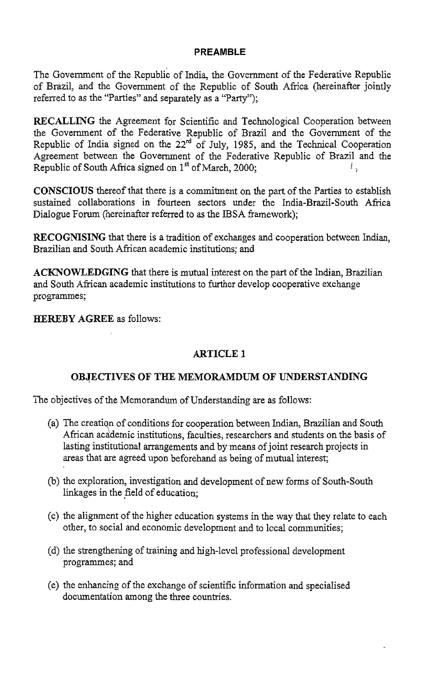#### PREAMBLE

The Government of the Republic of India, the Government of the Federative Republic of Brazil, and the Government of the Republic of South Africa (hereinafter jointly referred to as the "Parties" and separately as a "Party");

RECALLING the Agreement for Scientific and Technological Cooperation between the Government of the Federative Republic of Brazil and the Govenunent of the Republic of India signed on the 22<sup>rd</sup> of July, 1985, and the Technical Cooperation Agreement between the Government of the Federative Republic of Brazil and the Republic of South Africa signed on  $1^{st}$  of March 2000: Republic of South Africa signed on  $1<sup>st</sup>$  of March, 2000;

CONSCIOUS thereof that there is a commitment on the part of the Parties to establish sustained collaborations in fourteen sectors under the India-Brazil-South Africa Dialogue Forum (hereinafter referred to as the IBSA framework);

RECOGNISING that there is a tradition of exchanges and cooperation between Indian, Brazilian and South African academic institutions; and

ACKNOWLEDGING that there is mutual interest on the part of the Indian, Brazilian and South African academic institutions to further develop cooperative exchange programmes;

HEREBY AGREE as follows:

#### **ARTICLE 1**

#### OB.jECTIVES OF THE MEMORAMDUM OF UNDERSTANDING

The objectives of the Memorandum of Understanding are as follows:

- (a) The creatiqn of conditions for cooperation between Indian, Brazilian and South African academic institutions, faculties, researchers and students on the basis of lasting institutional arrangements and by means of joint research projects in areas that are agreed upon beforehand as being of mutual interest;
- (b) the exploration, investigation and development of new forms of South-South linkages in the field of education;
- (c) the alignment of the higher education systems in the way that they relate to each other, to social and economic development and to local communities;
- (d) the strengthening of training and high-level professional development programmes; and
- (e) the enhancing of the exchange of scientific information and specialised documentation among the three countries.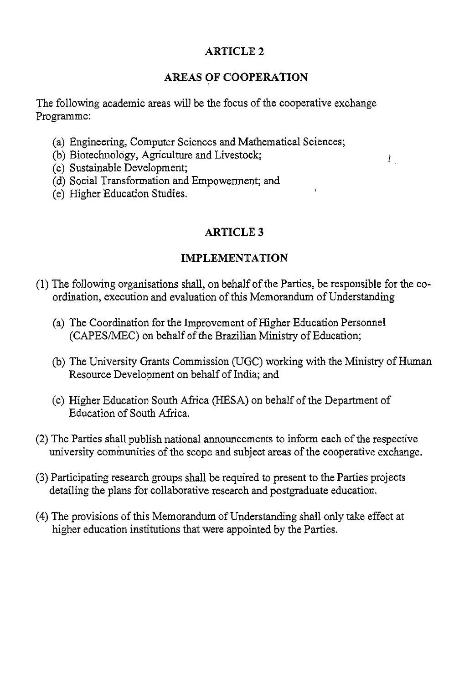#### **ARTICLE 2**

#### AREAS OF COOPERATION

 $\bar{l}$  .

The following academic areas will be the focus of the cooperative exchange Programme:

- (a) Engineering, Computer Sciences and Mathematical Sciences;<br>(b) Biotechnology, Agriculture and Livestock;
- 
- (c) Sustainable Development;
- (d) Social Transformation and Empowerment; and
- (e) Higher Education Studies.

#### ARTICLE 3

#### **IMPLEMENTATION**

- (1) The following organisations shall, on behalf of the Parties, be responsible for the coordination, execution and evaluation of this Memorandum of Understanding
	- (a) The Coordination for the Improvement of Higher Education Personnel (CAPES/MEC) on behalf of the Brazilian Ministry of Education;
	- (b) The University Grants Commission (UGC) working with the Ministry of Human Resource Development on behalf of India; and
	- (c) Higher Education South Africa (HESA) on behalf of the Department of Education of South Africa.
- **detailing the plans for collaborative research and postgraduate education.** university communities of the scope and subject areas of the cooperative exchange.
- **higherarry <b>institution higher higher** *instance <b>professions instermance <b>professions instermance <b><i>n instermance <b><i>instermance instermance instermance instermance <i>instermance inste* detailing the plans for collaborative research and postgraduate education.
- (4) The provisions of this Memorandum of Understanding shall only take effect at higher education institutions that were appointed by the Parties.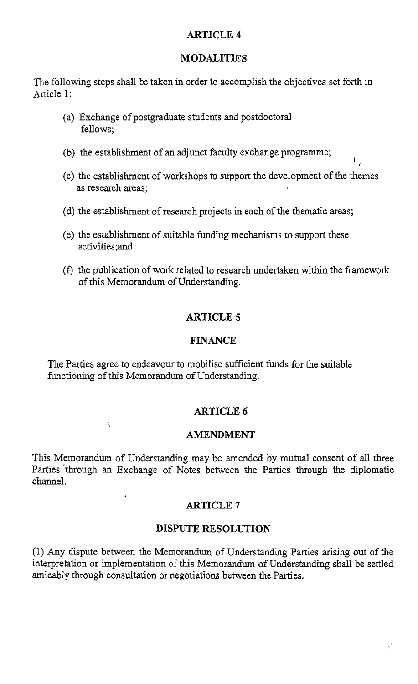#### ARTICLE 4

#### MODALITIES

The following steps shall be taken in order to accomplish the objectives set forth in Article 1:

- (a) Exchange of postgraduate students and postdoctoral fellows;
- (b) the establishment of an adjunct faculty exchange programme;
- (c) the establishment of workshops to support the development of the themes as research areas;
- (d) the establishment of research projects in each of the thematic areas;
- (e) the establishment of suitable funding mechanisms to support these activities;and
- Cf) the publication of work related to research undertaken within the framework of this Memorandum of Understanding.

#### **ARTICLE 5**

#### FINANCE

The Parties agree to endeavour to mobilise sufficient funds for the suitable functioning of this Memorandum of Understanding.

 $\ddot{i}$ 

#### ARTICLE 6

#### AMENDMENT

This Memorandum of Understanding may be amended by mutual consent of all three Parties through an Exchange of Notes between the Parties through the diplomatic channel.

#### **ARTICLE 7**

#### DISPUTE RESOLUTION

(1) Any dispute between the Memorandum of Understanding Parties arising out of the interpretation or implementation of this Memorandum of Understanding shall be settled amicably through consultation or negotiations between the Parties.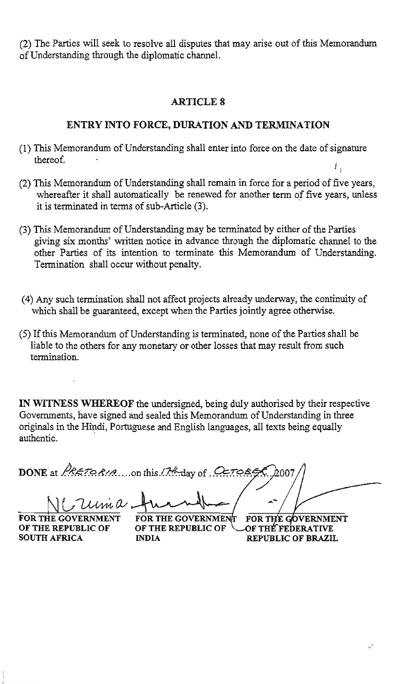(2) The Parties will seek to resolve all disputes that may arise out of this Memorandum of Understanding through the diplomatic channel.

#### ARTICLE 8

#### ENTRY INTO FORCE, DURATION AND TERMINATION

- (1) This Memorandum of Understanding shall enter into force on the date ofsignature thereof. there  $\sigma_{\rm eff}$ Ι,
- (2) This Memorandum of Understanding shall remain in force for a period of five years, whereafter it shall automatically be renewed for another term of five years, unless it is terminated in terms of  $sub-Article$  (3).
- (3) This Memorandum of Understanding may be terminated by either of the Parties giving six months' written notice in advance through the diplomatic channel to the other Parties of its intention to terminate this Memorandum of Understanding. Termination shall occur without penalty.
- (4) Any such termination shall not affect projects already underway, the continuity of which shall be guaranteed, except when the Parties jointly agree otherwise.
- (5) If this Memorandum of Understanding is terminated, none of the Parties shall be liable to the others for any monetary or other losses that may result from such termination

IN WITNESS WHEREOF the undersigned, being duly authorised by their respective Governments, have signed and sealed this Memorandum of Understanding in three originals in the Hindi, Portuguese and English languages, all texts being equally authentic. authentic. '

DONE at *PRETORIA* ....on this *I*H day of CETOREX  $\frac{2\mu}{\mu}$   $\frac{1}{\mu}$   $\frac{1}{\mu}$   $\frac{1}{\mu}$   $\frac{1}{\mu}$   $\frac{1}{\mu}$   $\frac{1}{\mu}$  for the Government for the Government

SOUTH AFRICA INDIA

OF THE REPUBLIC OF OF THE REPUBLIC OF COF THE FEDERATIVE<br>SOUTH AFRICA MDIA REPUBLIC OF BRAZIL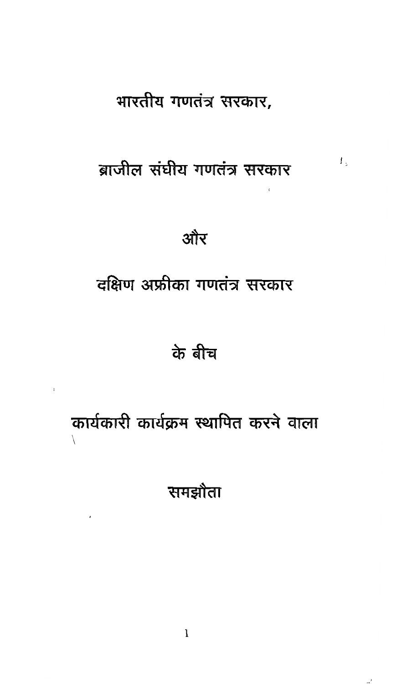# भारतीय गणतंत्र सरकार,

# ब्राजील संघीय गणतंत्र सरकार

 $L_{\rm s}$ 

और

दक्षिण अफ्रीका गणतंत्र सरकार

# के बीच

# कार्यकारी कार्यक्रम स्थापित करने वाला

 $\overline{1}$ 

समझौता

 $\mathbf{I}$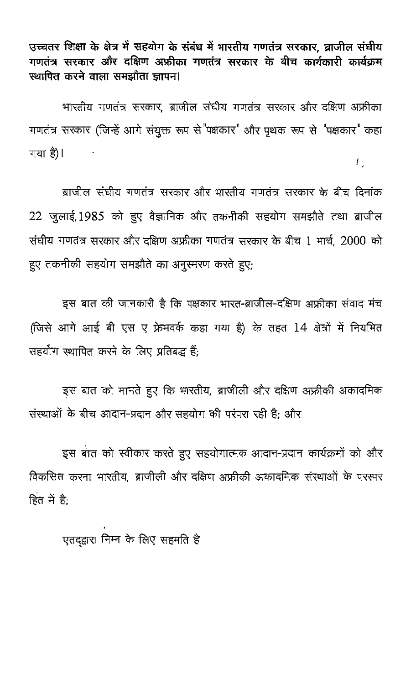उच्चतर शिक्षा के क्षेत्र में सहयोग के संबंध में भारतीय गणतंत्र सरकार, ब्राजील संघीय गणतंत्र सरकार और दक्षिण अफ्रीका गणतंत्र सरकार के बीच कार्यकारी कार्यक्रम स्थापित करने वाला समझौता ज्ञापन।

भारतीय गणतंत्र सरकार, ब्राजील संधीय गणतंत्र सरकार और दक्षिण अफ्रीका गणतंत्र सरकार (जिन्हें आगे संयुक्त रूप से "पक्षकार" और पृथक रूप से "पक्षकार" कहा गया है)।  $t_{\odot}$ 

ब्राजील संघीय गणतंत्र सरकार और भारतीय गणतंत्र सरकार के बीच दिनांक 22 जुलाई, 1985 को हुए वैज्ञानिक और तकनीकी सहयोग समझौते तथा ब्राजील संघीय गणतंत्र सरकार और दक्षिण अफ्रीका गणतंत्र सरकार के बीच 1 मार्च, 2000 को हुए तकनीकी सहयोग समझौते का अनुस्मरण करते हुए;

इस बात की जानकारी है कि पक्षकार भारत-ब्राजील-दक्षिण अफ्रीका संवाद मंच (जिसे आगे आई बी एस ए फ्रेमवर्क कहा गया है) के तहत 14 क्षेत्रों में नियमित सहयोग स्थापित करने के लिए प्रतिबद्ध हैं:

इस बात को मानते हुए कि भारतीय, ब्राजीली और दक्षिण अफ्रीकी अकादमिक संस्थाओं के बीच आदान-प्रदान और सहयोग की परंपरा रही है: और

इस बात को स्वीकार करते हुए सहयोगात्मक आदान-प्रदान कार्यक्रमों को और विकसित करना भारतीय, ब्राजीली और दक्षिण अफ्रीकी अकादमिक संस्थाओं के परस्पर हित में है:

एतदद्वारा निम्न के लिए सहमति है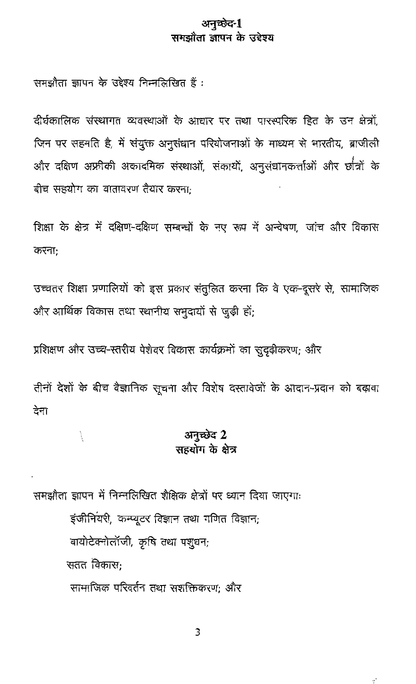#### अनच्छेद-1 समद्यौता जापन के उद्देश्य

समझौता ज्ञापन के उद्देश्य निम्नलिखित हैं :

दीर्घकालिक संस्थागत व्यवस्थाओं के आधार पर तथा पारस्परिक हित के उन क्षेत्रों जिन पर सहमति है, में संयुक्त अनुसंधान परियोजनाओं के माध्यम से भारतीय, ब्राजीली .<br>और दक्षिण अफ्रीकी अकादमिक संस्थाओं, संकायों, अनुसंधानकर्त्ताओं और छात्रों के बीच सहयोग का वातावरण तैयार करना-

शिक्षा के क्षेत्र में दक्षिण-दक्षिण सम्बन्धों के नए रूप में अन्वेषण, जांच और विकास करना:

उच्चतर शिक्षा प्रणालियों को इस प्रकार संतुलित करना कि वे एक-दूसरे से, सामाजिक और आर्थिक विकास तथा स्थानीय समुदायों से जड़ी हों:

प्रशिक्षण और उच्च-स्तरीय पेशेवर विकास कार्यक्रमों का सदढ़ीकरण: और

तीनों देशों के बीच वैज्ञानिक सूचना और विशेष दस्तावेजों के आदान-प्रदान को बढ़ावा देना

#### अनच्छेद 2 सहराम के क्षेत्र

समझौता ज्ञापन में निम्नलिखित शैक्षिक क्षेत्रों पर ध्यान दिया जाएगाः इंजीनियरी, कम्प्यूटर विज्ञान तथा गणित विज्ञान; बायोटेक्नोलॉजी, कृषि तथा पशुधन; सतत विकासः सामाजिक परिवर्तन तथा सशक्तिकरण: और

À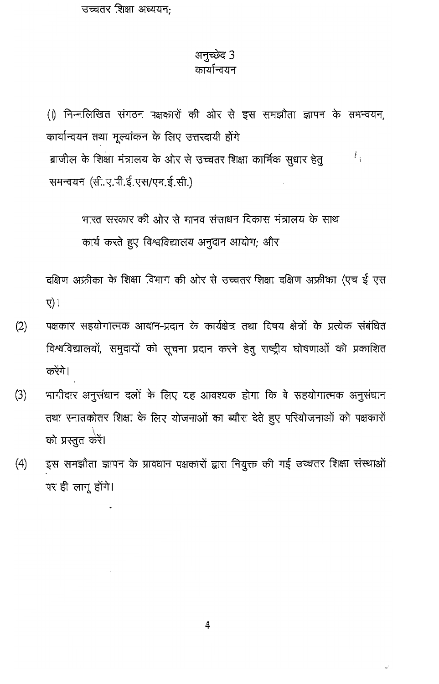उच्चतर शिक्षा अध्ययन:

### अनुच्छेद 3

#### कार्यान्वयन

(1) निम्नलिखित संगठन पक्षकारों की ओर से इस समझौता ज्ञापन के समन्वयन, कार्यान्वयन तथा मूल्यांकन के लिए उत्तरदायी होंगे ब्राजील के शिक्षा मंत्रालय के ओर से उच्चतर शिक्षा कार्मिक सुधार हेतू L, समन्वयन (सी.ए.पी.ई.एस/एम.ई.सी.)

> भारत सरकार की ओर से मानव संसाधन विकास मंत्रालय के साथ कार्य करते हुए विश्वविद्यालय अनुदान आयोग; और

दक्षिण अफ्रीका के शिक्षा विभाग की ओर से उच्चतर शिक्षा दक्षिण अफ्रीका (एच ई एस  $\nabla$ ) ।

- पक्षकार सहयोगात्मक आदान-प्रदान के कार्यक्षेत्र तथा विषय क्षेत्रों के प्रत्येक संबंधित  $(2)$ विश्वविद्यालयों, समुदायों को सूचना प्रदान करने हेतु राष्ट्रीय घोषणाओं को प्रकाशित करेंगे।
- भागीदार अनुसंधान दलों के लिए यह आवश्यक होगा कि वे सहयोगात्मक अनुसंधान  $(3)$ तथा स्नातकोतर शिक्षा के लिए योजनाओं का ब्यौरा देते हुए परियोजनाओं को पक्षकारों को प्रस्तुत करें।
- इस समझौता ज्ञापन के प्रावधान पक्षकारों द्वारा नियुक्त की गई उच्चतर शिक्षा संस्थाओं  $(4)$ पर ही लागू होंगे।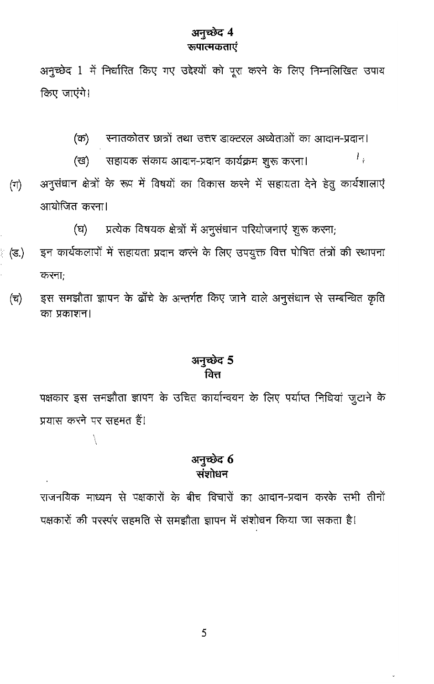#### अनुच्छेद 4 रूपात्मकताएं

अनुच्छेद 1 में निर्धारित किए गए उद्देश्यों को पूरा करने के लिए निम्नलिखित उपाय किए जाएंगे।

स्नातकोतर छात्रों तथा उत्तर डाक्टरल अध्येताओं का आदान-प्रदान। (ক)

 $L_{\rm s}$ 

(ख) सहायक संकाय आदान-प्रदान कार्यक्रम शुरू करना।  $(\exists \uparrow)$ अनुसंधान क्षेत्रों के रूप में विषयों का विकास करने में सहायता देने हेतु कार्यशालाएं आयोजित करना।

> प्रत्येक विषयक क्षेत्रों में अनुसंधान परियोजनाएं शुरू करना; (घ)

- इन कार्यकलापों में सहायता प्रदान करने के लिए उपयुक्त वित्त पोषित तंत्रों की स्थापना (ड.) करना;
	- इस समझौता ज्ञापन के ढाँचे के अन्तर्गत किए जाने वाले अनुसंधान से सम्बन्धित कृति  $(\overline{u})$ का प्रकाशन।

#### अनुच्छेद 5 वित्त

पक्षकार इस समझौता ज्ञापन के उचित कार्यान्वयन के लिए पर्याप्त निधियां जुटाने के प्रयास करने पर सहमत हैं।

#### अनुच्छेद 6 संशोधन

राजनयिक माध्यम से पक्षकारों के बीच विचारों का आदान-प्रदान करके सभी तीनों पक्षकारों की परस्पर सहमति से समझौता ज्ञापन में संशोधन किया जा सकता है!

5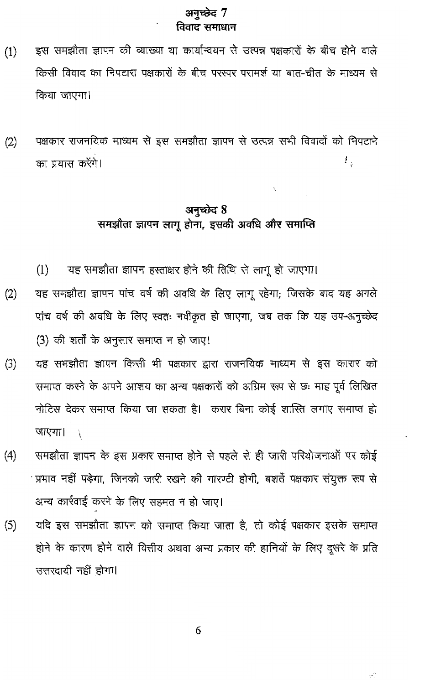#### अनुच्छेद 7 विवाट समाधान

- इस समझौता ज्ञापन की व्याख्या या कार्यान्वयन से उत्पन्न पक्षकारों के बीच होने वाले  $(1)$ किसी विवाद का निपटारा पक्षकारों के बीच परस्पर परामर्श या बात-चीत के माध्यम से किया जाएगा।
- पक्षकार राजनयिक माध्यम से इस समझौता ज्ञापन से उत्पन्न सभी विवादों को निपटाने  $(2)$ 1, का प्रयास करेंगे।

#### अनुच्छेद 8 समझौता ज्ञापन लागू होना, इसकी अवधि और समाप्ति

- यह समझौता ज्ञापन हस्ताक्षर होने की तिथि से लागू हो जाएगा।  $(1)$
- यह समझौता ज्ञापन पांच वर्ष की अवधि के लिए लागू रहेगा; जिसके बाद यह अगले  $(2)$ पांच वर्ष की अवधि के लिए स्वतः नवीकृत हो जाएगा, जब तक कि यह उप-अनुच्छेद (3) की शर्तों के अनुसार समाप्त न हो जाए!
- यह समझौता ज्ञापन किसी भी पक्षकार द्वारा राजनयिक माध्यम से इस कारार को  $(3)$ समाप्त करने के अपने आशय का अन्य पक्षकारों को अग्रिम रूप से छः माह पूर्व लिखित नोटिस देकर समाप्त किया जा सकता है। करार बिना कोई शास्ति लगाए समाप्त हो **जाएगा।** ।
- समझौता ज्ञापन के इस प्रकार समाप्त होने से पहले से ही जारी परियोजनाओं पर कोई  $(4)$ प्रभाव नहीं पड़ेगा, जिनको जारी रखने की गारण्टी होगी, बशर्ते पक्षकार संयुक्त रूप से अन्य कार्रवाई करने के लिए सहमत न हो जाए।
- यदि इस समझौता ज्ञापन को समाप्त किया जाता है, तो कोई पक्षकार इसके समाप्त  $(5)$ होने के कारण होने वाले वित्तीय अथवा अन्य प्रकार की हानियों के लिए दूसरे के प्रति उत्तरदायी नहीं होगा।

6

 $\phi^{\prime\prime}_{\perp}$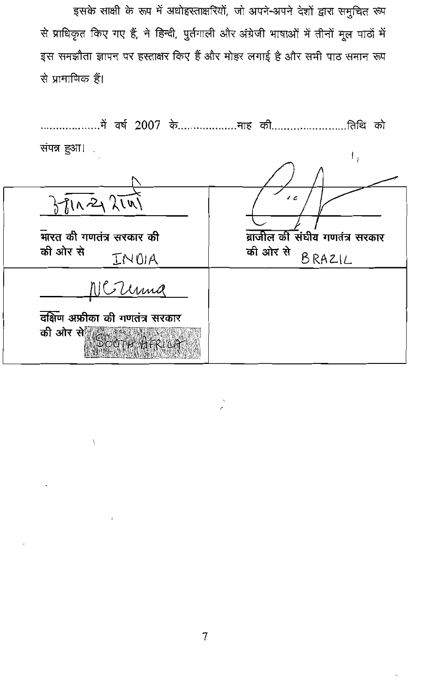इसके साक्षी के रूप में अधोहस्ताक्षरियों, जो अपने-अपने देशों द्वारा समुचित रूप से प्राधिकृत किए गए हैं, ने हिन्दी, पुर्तगाली और अंग्रेजी भाषाओं में तीनों मूल पाठों में इस समझौता ज्ञापन पर हस्ताक्षर किए हैं और मोहर लगाई है और सभी पाठ समान रूप से प्रामाणिक हैं।

| में वर्ष 2007 केमाह की<br>.तिथि को            |                                                      |
|-----------------------------------------------|------------------------------------------------------|
| संपन्न हुआ।                                   | $\frac{1}{i}$                                        |
|                                               |                                                      |
| 371022211                                     | J c                                                  |
| मारत की गणतंत्र सरकार की<br>की ओर से<br>INDIA | ब्राजील की संघीय गणतंत्र सरकार<br>की ओर से<br>BRAZIL |
| NC Terma                                      |                                                      |
| दक्षिण अफ्रीका की गणतंत्र सरकार               |                                                      |
| की ओर से $\frac{1}{2}$ िंदा में भी दि धने     |                                                      |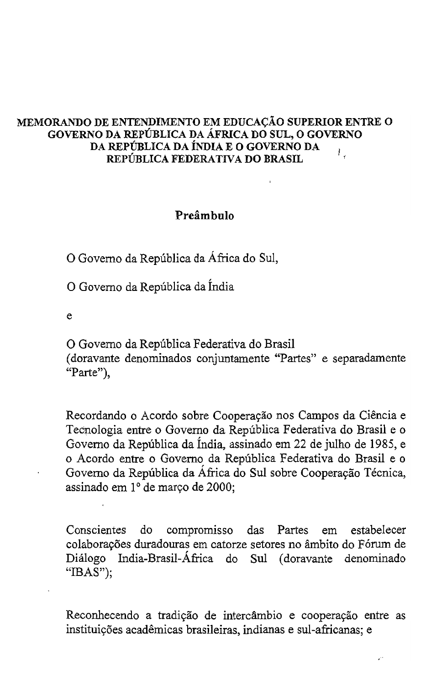#### MEMORANDO DE ENTENDIMENTO EM EDUCAÇÃO SUPERIOR ENTRE O GOVERNO DA REPÚBLICA DA ÁFRICA DO SUL, O GOVERNO DA REPÚBLICA DA ÍNDIA E O GOVERNO DA REPÚBLICA FEDERATIVA DO BRASIL

#### Preâmbulo

O Governo da República da África do Sul,

O Governo da República da Índia

e

O Governo da República Federativa do Brasil (doravante denominados conjuntamente "Partes" e separadamente

"Parte"),

Recordando o Acordo sobre Cooperação nos Campos da Ciência e Tecnologia entre o Governo da República Federativa do Brasil e o Governo da República da Índia, assinado em 22 de julho de 1985, e o Acordo entre o Governo da República Federativa do Brasil e o Governo da República da África do Sul sobre Cooperação Técnica, assinado em 1º de março de 2000;

do compromisso das Partes em estabelecer Conscientes colaborações duradouras em catorze setores no âmbito do Fórum de India-Brasil-África do Sul (doravante Diálogo denominado " $\text{IBAS}$ "):

Reconhecendo a tradição de intercâmbio e cooperação entre as instituições acadêmicas brasileiras, indianas e sul-africanas; e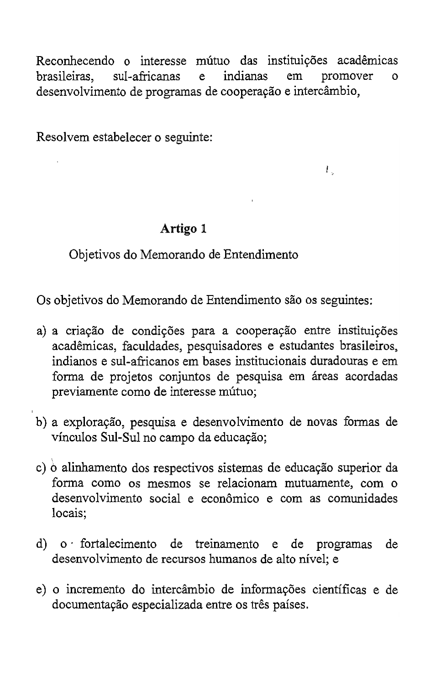Reconhecendo o interesse mútuo das instituições acadêmicas<br>brasileiras. sul-africanas e indianas em promover o brasileiras.  $\Omega$ desenvolvimento de programas de cooperação e intercâmbio,

 $\overline{I}$  ,

Resolvem estabelecer o seguinte:

#### Artigo 1

Objetivos do Memorando de Entendimento

indianos e sul-africanos em bases institucionais duradouras e em ándo de Entendmiento são os seguintos.

- a) a criação de condições para a cooperação entre instituições acadêmicas, faculdades, pesquisadores e estudantes brasileiros, indianos e sul-africanos em bases institucionais duradouras e em forma de projetos conjuntos de pesquisa em áreas acordadas previamente como de interesse mútuo;
- **fanna como os mesmos se relacionarn mutuamente, com <sup>0</sup>** de desenvolvimento de novas formas de vínculos Sul-Sul no campo da educação;
- c) o alinhamento dos respectivos sistemas de educação superior da forma como os mesmos se relacionam mutuamente, com o desenvolvimento social e econômico e com as comunidades locais:
- d) o fortalecimento de treinamento e de programas de desenvolvimento de recursos humanos de alto nível; e
- e) o incremento do intercâmbio de informações científicas e de documentação especializada entre os três países.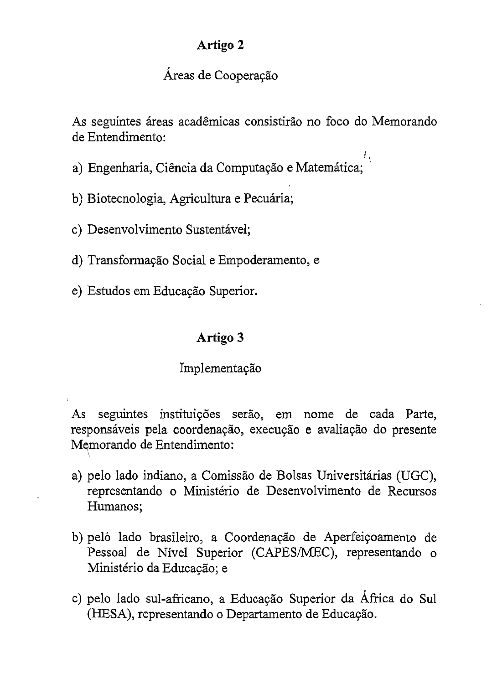#### Artigo 2

#### As seguintes areas academicas consistirao no foco do Memorando Áreas de Cooperação

As seguintes áreas acadêmicas consistirão no foco do Memorando  $\mathbf{a}$ 

£, a) Engenharia, Ciência da Computação e Matemática;

b) Biotecnologia, Agricultura e Pecuária;

c) Desenvolvimento Sustentável;

d) Transformação Social e Empoderamento, e

e) Estudos em Educação Superior.

#### Artigo 3

#### Implementação

seguintes instituições serão, em nome de cada Parte,  $As$ responsáveis pela coordenação, execução e avaliação do presente Memorando de Entendimento:

- a) pelo lado indiano, a Comissão de Bolsas Universitárias (UGC), representando o Ministério de Desenvolvimento de Recursos Humanos;
- b) pelo lado brasileiro, a Coordenação de Aperfeiçoamento de Pessoal de Nível Superior (CAPES/MEC), representando o Ministério da Educação; e
- c) pelo lado sul-africano, a Educação Superior da África do Sul (HESA), representando o Departamento de Educação.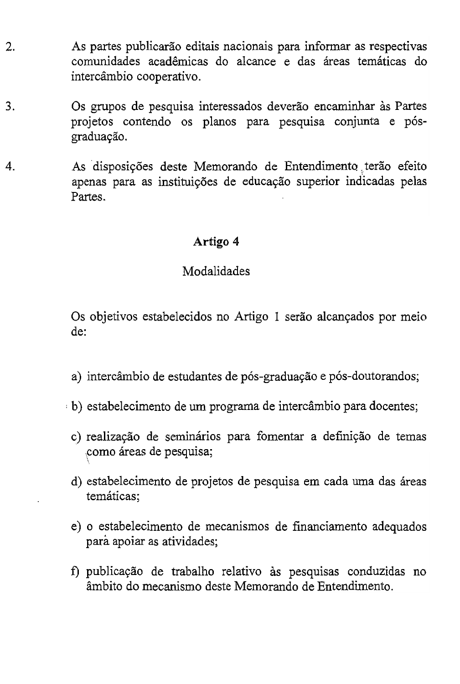- 2. s partes publicarão editais nacionais para informar as respectivas comunidades acadêmicas do alcance e das áreas temáticas do intercâmbio cooperativo.
- 3. s grupos de pesquisa interessados deverão encaminhar às Partes projetos contendo os planos para pesquisa conjunta e pósgraduação.
- As disposições deste Memorando de Entendimento terão efeito 4. apenas para as instituições de educação superior indicadas pelas Partes.

#### Artigo 4

#### Modalidades

Os objetivos estabelecidos no Artigo 1 serão alcançados por meio de:

- a) intercâmbio de estudantes de pós-graduação e pós-doutorandos;
- b) estabelecimento de um programa de intercâmbio para docentes;
	- c) realização de seminários para fomentar a definição de temas como áreas de pesquisa;
	- d) estabelecimento de projetos de pesquisa em cada uma das áreas temáticas:
	- e) o estabelecimento de mecanismos de financiamento adequados para apoiar as atividades;
	- f) publicação de trabalho relativo às pesquisas conduzidas no âmbito do mecanismo deste Memorando de Entendimento.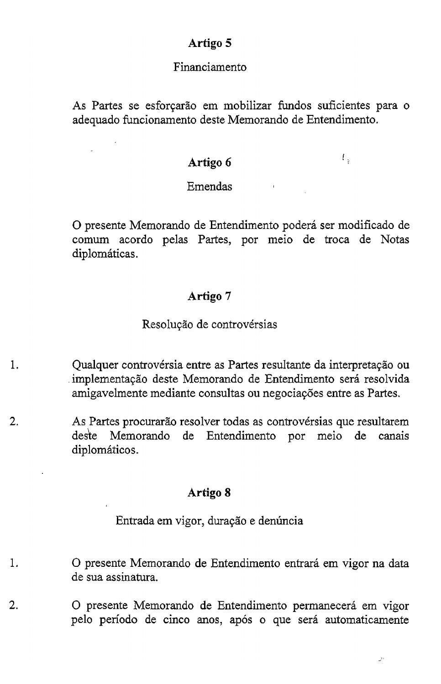#### Artigo 5

#### Financiamento

As Partes se esforçarão em mobilizar fundos suficientes para o adequado funcionamento deste Memorando de Entendimento.

#### Artigo 6

 $I_{\rm{in}}$ 

#### Emendas

O presente Memorando de Entendimento poderá ser modificado de comum acordo pelas Partes, por meio de troca de Notas diplomáticas.

#### Artigo 7 Resoluyao de controversias

#### Resolução de controvérsias

- Qualquer controvérsia entre as Partes resultante da interpretação ou 1. implementação deste Memorando de Entendimento será resolvida amigavelmente mediante consultas ou negociações entre as Partes.
- As Partes procurarão resolver todas as controvérsias que resultarem 2. deste Memorando de Entendimento por meio de canais diplomáticos.

#### Artigo 8 Entrada em vigor, durayao e denUncia

Entrada em vigor, duração e denúncia

- O presente Memorando de Entendimento entrará em vigor na data 1. o presente Memorando de Entendimento permanecera em vigor de Entendimento permanecera em vigor de Entendimento<br>Entendimento permanecera em vigor de Entendimento permanecera em vigor de Entendimento permanecera em vigor de
- O presente Memorando de Entendimento permanecerá em vigor 2. pelo período de cinco anos, após o que será automaticamente